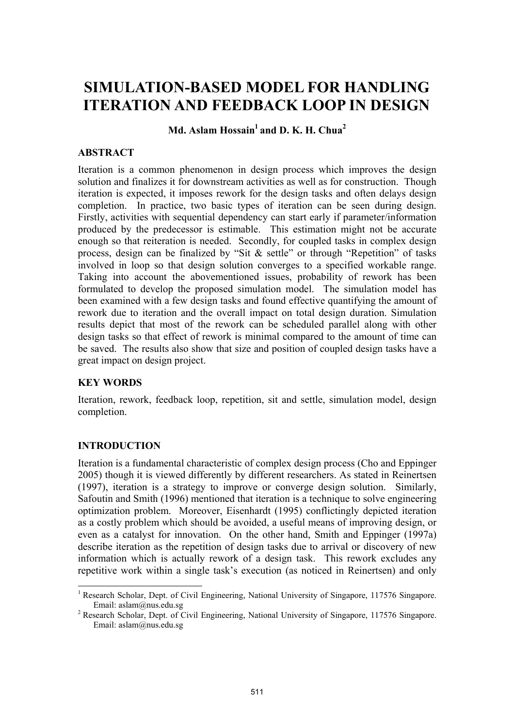# **SIMULATION-BASED MODEL FOR HANDLING ITERATION AND FEEDBACK LOOP IN DESIGN**

 $Md.$  Aslam Hossain<sup>1</sup> and D. K. H. Chua<sup>2</sup>

## **ABSTRACT**

Iteration is a common phenomenon in design process which improves the design solution and finalizes it for downstream activities as well as for construction. Though iteration is expected, it imposes rework for the design tasks and often delays design completion. In practice, two basic types of iteration can be seen during design. Firstly, activities with sequential dependency can start early if parameter/information produced by the predecessor is estimable. This estimation might not be accurate enough so that reiteration is needed. Secondly, for coupled tasks in complex design process, design can be finalized by "Sit & settle" or through "Repetition" of tasks involved in loop so that design solution converges to a specified workable range. Taking into account the abovementioned issues, probability of rework has been formulated to develop the proposed simulation model. The simulation model has been examined with a few design tasks and found effective quantifying the amount of rework due to iteration and the overall impact on total design duration. Simulation results depict that most of the rework can be scheduled parallel along with other design tasks so that effect of rework is minimal compared to the amount of time can be saved. The results also show that size and position of coupled design tasks have a great impact on design project.

## **KEY WORDS**

Iteration, rework, feedback loop, repetition, sit and settle, simulation model, design completion.

## **INTRODUCTION**

l

Iteration is a fundamental characteristic of complex design process (Cho and Eppinger 2005) though it is viewed differently by different researchers. As stated in Reinertsen (1997), iteration is a strategy to improve or converge design solution. Similarly, Safoutin and Smith (1996) mentioned that iteration is a technique to solve engineering optimization problem. Moreover, Eisenhardt (1995) conflictingly depicted iteration as a costly problem which should be avoided, a useful means of improving design, or even as a catalyst for innovation. On the other hand, Smith and Eppinger (1997a) describe iteration as the repetition of design tasks due to arrival or discovery of new information which is actually rework of a design task. This rework excludes any repetitive work within a single task's execution (as noticed in Reinertsen) and only

<sup>&</sup>lt;sup>1</sup> Research Scholar, Dept. of Civil Engineering, National University of Singapore, 117576 Singapore. Email: aslam@nus.edu.sg 2

<sup>&</sup>lt;sup>2</sup> Research Scholar, Dept. of Civil Engineering, National University of Singapore, 117576 Singapore. Email: aslam@nus.edu.sg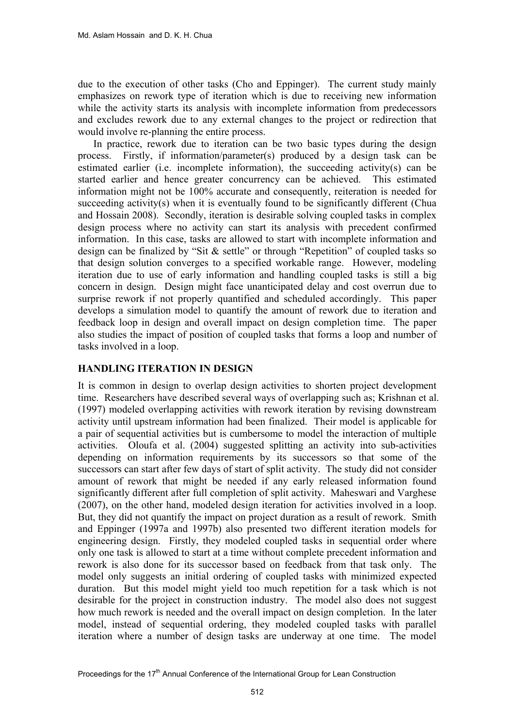due to the execution of other tasks (Cho and Eppinger). The current study mainly emphasizes on rework type of iteration which is due to receiving new information while the activity starts its analysis with incomplete information from predecessors and excludes rework due to any external changes to the project or redirection that would involve re-planning the entire process.

In practice, rework due to iteration can be two basic types during the design process. Firstly, if information/parameter(s) produced by a design task can be estimated earlier (i.e. incomplete information), the succeeding activity(s) can be started earlier and hence greater concurrency can be achieved. This estimated information might not be 100% accurate and consequently, reiteration is needed for succeeding activity(s) when it is eventually found to be significantly different (Chua and Hossain 2008). Secondly, iteration is desirable solving coupled tasks in complex design process where no activity can start its analysis with precedent confirmed information. In this case, tasks are allowed to start with incomplete information and design can be finalized by "Sit & settle" or through "Repetition" of coupled tasks so that design solution converges to a specified workable range. However, modeling iteration due to use of early information and handling coupled tasks is still a big concern in design. Design might face unanticipated delay and cost overrun due to surprise rework if not properly quantified and scheduled accordingly. This paper develops a simulation model to quantify the amount of rework due to iteration and feedback loop in design and overall impact on design completion time. The paper also studies the impact of position of coupled tasks that forms a loop and number of tasks involved in a loop.

## **HANDLING ITERATION IN DESIGN**

It is common in design to overlap design activities to shorten project development time. Researchers have described several ways of overlapping such as; Krishnan et al. (1997) modeled overlapping activities with rework iteration by revising downstream activity until upstream information had been finalized. Their model is applicable for a pair of sequential activities but is cumbersome to model the interaction of multiple activities. Oloufa et al. (2004) suggested splitting an activity into sub-activities depending on information requirements by its successors so that some of the successors can start after few days of start of split activity. The study did not consider amount of rework that might be needed if any early released information found significantly different after full completion of split activity. Maheswari and Varghese (2007), on the other hand, modeled design iteration for activities involved in a loop. But, they did not quantify the impact on project duration as a result of rework. Smith and Eppinger (1997a and 1997b) also presented two different iteration models for engineering design. Firstly, they modeled coupled tasks in sequential order where only one task is allowed to start at a time without complete precedent information and rework is also done for its successor based on feedback from that task only. The model only suggests an initial ordering of coupled tasks with minimized expected duration. But this model might yield too much repetition for a task which is not desirable for the project in construction industry. The model also does not suggest how much rework is needed and the overall impact on design completion. In the later model, instead of sequential ordering, they modeled coupled tasks with parallel iteration where a number of design tasks are underway at one time. The model

Proceedings for the 17<sup>th</sup> Annual Conference of the International Group for Lean Construction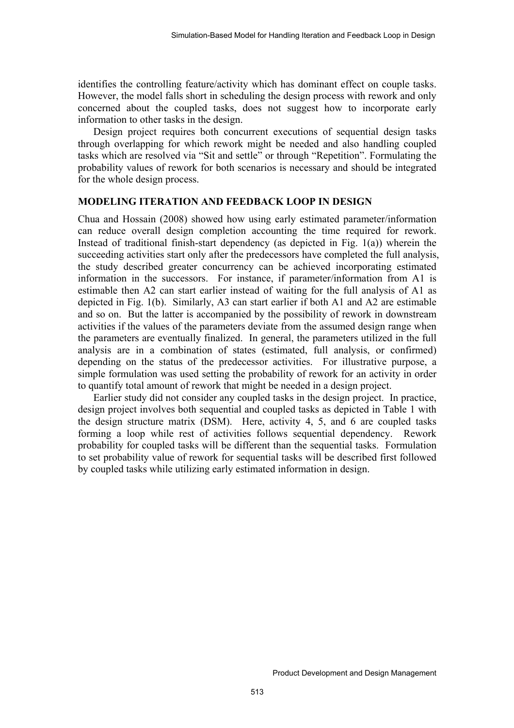identifies the controlling feature/activity which has dominant effect on couple tasks. However, the model falls short in scheduling the design process with rework and only concerned about the coupled tasks, does not suggest how to incorporate early information to other tasks in the design.

Design project requires both concurrent executions of sequential design tasks through overlapping for which rework might be needed and also handling coupled tasks which are resolved via "Sit and settle" or through "Repetition". Formulating the probability values of rework for both scenarios is necessary and should be integrated for the whole design process.

#### **MODELING ITERATION AND FEEDBACK LOOP IN DESIGN**

Chua and Hossain (2008) showed how using early estimated parameter/information can reduce overall design completion accounting the time required for rework. Instead of traditional finish-start dependency (as depicted in Fig. 1(a)) wherein the succeeding activities start only after the predecessors have completed the full analysis, the study described greater concurrency can be achieved incorporating estimated information in the successors. For instance, if parameter/information from A1 is estimable then A2 can start earlier instead of waiting for the full analysis of A1 as depicted in Fig. 1(b). Similarly, A3 can start earlier if both A1 and A2 are estimable and so on. But the latter is accompanied by the possibility of rework in downstream activities if the values of the parameters deviate from the assumed design range when the parameters are eventually finalized. In general, the parameters utilized in the full analysis are in a combination of states (estimated, full analysis, or confirmed) depending on the status of the predecessor activities. For illustrative purpose, a simple formulation was used setting the probability of rework for an activity in order to quantify total amount of rework that might be needed in a design project.

Earlier study did not consider any coupled tasks in the design project. In practice, design project involves both sequential and coupled tasks as depicted in Table 1 with the design structure matrix (DSM). Here, activity 4, 5, and 6 are coupled tasks forming a loop while rest of activities follows sequential dependency. Rework probability for coupled tasks will be different than the sequential tasks. Formulation to set probability value of rework for sequential tasks will be described first followed by coupled tasks while utilizing early estimated information in design.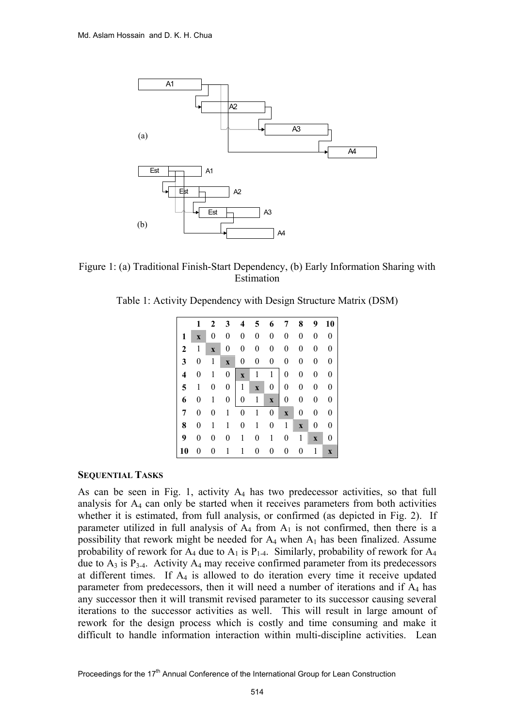

Figure 1: (a) Traditional Finish-Start Dependency, (b) Early Information Sharing with Estimation

Table 1: Activity Dependency with Design Structure Matrix (DSM)

|              | 1                       | 2           | 3                       | 4                | 5           | 6                | 7                | 8                         | 9                | 10             |
|--------------|-------------------------|-------------|-------------------------|------------------|-------------|------------------|------------------|---------------------------|------------------|----------------|
| 1            | $\overline{\mathbf{X}}$ | 0           | 0                       | 0                | 0           | $\boldsymbol{0}$ | 0                | 0                         | 0                | $\overline{0}$ |
| $\mathbf{2}$ | 1                       | $\mathbf x$ | 0                       | 0                | 0           | 0                | $\boldsymbol{0}$ | 0                         | 0                | 0              |
| 3            | 0                       | 1           | $\overline{\mathbf{X}}$ | 0                | 0           | 0                | $\boldsymbol{0}$ | 0                         | 0                | 0              |
| 4            | 0                       | 1           | $\boldsymbol{0}$        | $\mathbf{x}$     | 1           | $\mathbf{1}$     | $\overline{0}$   | 0                         | $\overline{0}$   | 0              |
| 5            | 1                       | 0           | $\boldsymbol{0}$        | $\mathbf{1}$     | $\mathbf X$ | $\overline{0}$   | $\boldsymbol{0}$ | 0                         | $\boldsymbol{0}$ | 0              |
| 6            | 0                       | 1           | $\boldsymbol{0}$        | 0                | 1           | $\mathbf X$      | 0                | 0                         | 0                | 0              |
| 7            | 0                       | 0           | 1                       | $\boldsymbol{0}$ | 1           | 0                | $\mathbf X$      | 0                         | 0                | 0              |
| 8            | 0                       | 1           | $\mathbf{1}$            | 0                | 1           | 0                | $\mathbf{1}$     | $\boldsymbol{\mathrm{X}}$ | 0                | 0              |
| 9            | 0                       | 0           | 0                       | 1                | 0           | 1                | 0                | 1                         | $\mathbf X$      | 0              |
| 10           | 0                       | 0           | 1                       | 1                | 0           | 0                | 0                | 0                         | 1                | $\mathbf x$    |

#### **SEQUENTIAL TASKS**

As can be seen in Fig. 1, activity  $A_4$  has two predecessor activities, so that full analysis for A4 can only be started when it receives parameters from both activities whether it is estimated, from full analysis, or confirmed (as depicted in Fig. 2). If parameter utilized in full analysis of  $A_4$  from  $A_1$  is not confirmed, then there is a possibility that rework might be needed for  $A_4$  when  $A_1$  has been finalized. Assume probability of rework for  $A_4$  due to  $A_1$  is  $P_{1-4}$ . Similarly, probability of rework for  $A_4$ due to  $A_3$  is  $P_{3-4}$ . Activity  $A_4$  may receive confirmed parameter from its predecessors at different times. If  $A_4$  is allowed to do iteration every time it receive updated parameter from predecessors, then it will need a number of iterations and if A4 has any successor then it will transmit revised parameter to its successor causing several iterations to the successor activities as well. This will result in large amount of rework for the design process which is costly and time consuming and make it difficult to handle information interaction within multi-discipline activities. Lean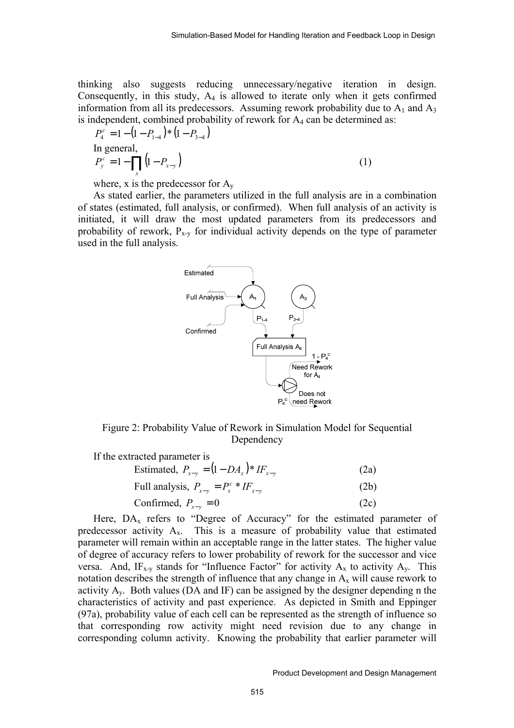thinking also suggests reducing unnecessary/negative iteration in design. Consequently, in this study, A4 is allowed to iterate only when it gets confirmed information from all its predecessors. Assuming rework probability due to  $A_1$  and  $A_3$ is independent, combined probability of rework for  $A_4$  can be determined as:

$$
P_4^c = 1 - (1 - P_{1-4}) * (1 - P_{3-4})
$$
  
In general,  

$$
P_y^c = 1 - \prod_x (1 - P_{x-y})
$$
 (1)

where, x is the predecessor for  $A_v$ 

As stated earlier, the parameters utilized in the full analysis are in a combination of states (estimated, full analysis, or confirmed). When full analysis of an activity is initiated, it will draw the most updated parameters from its predecessors and probability of rework,  $P_{x-y}$  for individual activity depends on the type of parameter used in the full analysis.



Figure 2: Probability Value of Rework in Simulation Model for Sequential Dependency

| If the extracted parameter is                 |      |
|-----------------------------------------------|------|
| Estimated, $P_{x-y} = (1 - DA_x)^* I F_{x-y}$ | (2a) |
| Full analysis, $P_{x-y} = P_x^c * I F_{x-y}$  | (2b) |
| Confirmed, $P_{x-y} = 0$                      | (2c) |

Here,  $DA_x$  refers to "Degree of Accuracy" for the estimated parameter of predecessor activity  $A_x$ . This is a measure of probability value that estimated parameter will remain within an acceptable range in the latter states. The higher value of degree of accuracy refers to lower probability of rework for the successor and vice versa. And,  $IF_{x-y}$  stands for "Influence Factor" for activity  $A_x$  to activity  $A_y$ . This notation describes the strength of influence that any change in  $A_x$  will cause rework to activity  $A_v$ . Both values (DA and IF) can be assigned by the designer depending n the characteristics of activity and past experience. As depicted in Smith and Eppinger (97a), probability value of each cell can be represented as the strength of influence so that corresponding row activity might need revision due to any change in corresponding column activity. Knowing the probability that earlier parameter will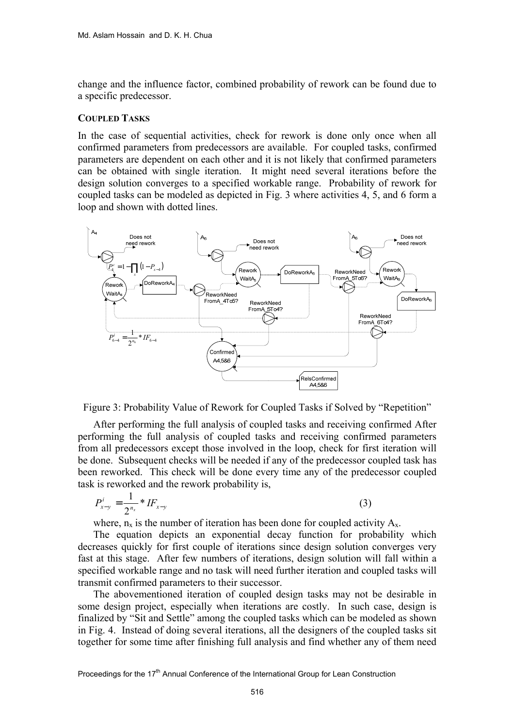change and the influence factor, combined probability of rework can be found due to a specific predecessor.

#### **COUPLED TASKS**

In the case of sequential activities, check for rework is done only once when all confirmed parameters from predecessors are available. For coupled tasks, confirmed parameters are dependent on each other and it is not likely that confirmed parameters can be obtained with single iteration. It might need several iterations before the design solution converges to a specified workable range. Probability of rework for coupled tasks can be modeled as depicted in Fig. 3 where activities 4, 5, and 6 form a loop and shown with dotted lines.





After performing the full analysis of coupled tasks and receiving confirmed After performing the full analysis of coupled tasks and receiving confirmed parameters from all predecessors except those involved in the loop, check for first iteration will be done. Subsequent checks will be needed if any of the predecessor coupled task has been reworked. This check will be done every time any of the predecessor coupled task is reworked and the rework probability is,

$$
P_{x-y}^i = \frac{1}{2^{n_x}} * I F_{x-y}
$$
 (3)

where,  $n_x$  is the number of iteration has been done for coupled activity  $A_x$ .

The equation depicts an exponential decay function for probability which decreases quickly for first couple of iterations since design solution converges very fast at this stage. After few numbers of iterations, design solution will fall within a specified workable range and no task will need further iteration and coupled tasks will transmit confirmed parameters to their successor.

The abovementioned iteration of coupled design tasks may not be desirable in some design project, especially when iterations are costly. In such case, design is finalized by "Sit and Settle" among the coupled tasks which can be modeled as shown in Fig. 4. Instead of doing several iterations, all the designers of the coupled tasks sit together for some time after finishing full analysis and find whether any of them need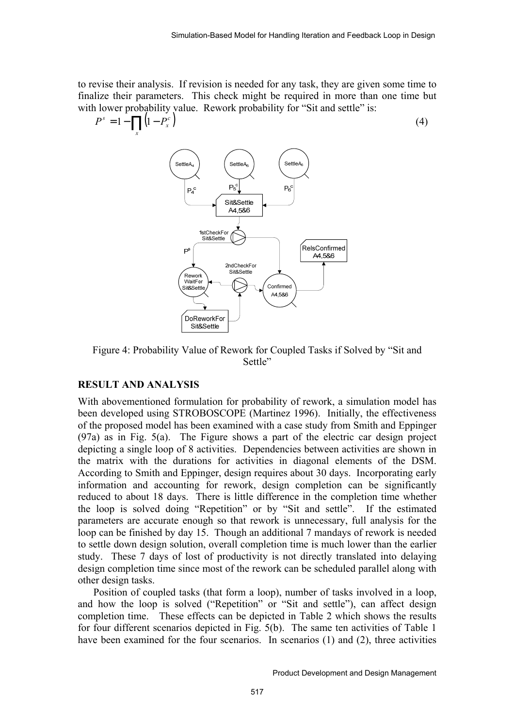to revise their analysis. If revision is needed for any task, they are given some time to finalize their parameters. This check might be required in more than one time but with lower probability value. Rework probability for "Sit and settle" is:

$$
Ps = 1 - \prod_{x} (1 - P_xc)
$$
 (4)



Figure 4: Probability Value of Rework for Coupled Tasks if Solved by "Sit and Settle"

### **RESULT AND ANALYSIS**

With abovementioned formulation for probability of rework, a simulation model has been developed using STROBOSCOPE (Martinez 1996). Initially, the effectiveness of the proposed model has been examined with a case study from Smith and Eppinger (97a) as in Fig. 5(a). The Figure shows a part of the electric car design project depicting a single loop of 8 activities. Dependencies between activities are shown in the matrix with the durations for activities in diagonal elements of the DSM. According to Smith and Eppinger, design requires about 30 days. Incorporating early information and accounting for rework, design completion can be significantly reduced to about 18 days. There is little difference in the completion time whether the loop is solved doing "Repetition" or by "Sit and settle". If the estimated parameters are accurate enough so that rework is unnecessary, full analysis for the loop can be finished by day 15. Though an additional 7 mandays of rework is needed to settle down design solution, overall completion time is much lower than the earlier study. These 7 days of lost of productivity is not directly translated into delaying design completion time since most of the rework can be scheduled parallel along with other design tasks.

Position of coupled tasks (that form a loop), number of tasks involved in a loop, and how the loop is solved ("Repetition" or "Sit and settle"), can affect design completion time. These effects can be depicted in Table 2 which shows the results for four different scenarios depicted in Fig. 5(b). The same ten activities of Table 1 have been examined for the four scenarios. In scenarios (1) and (2), three activities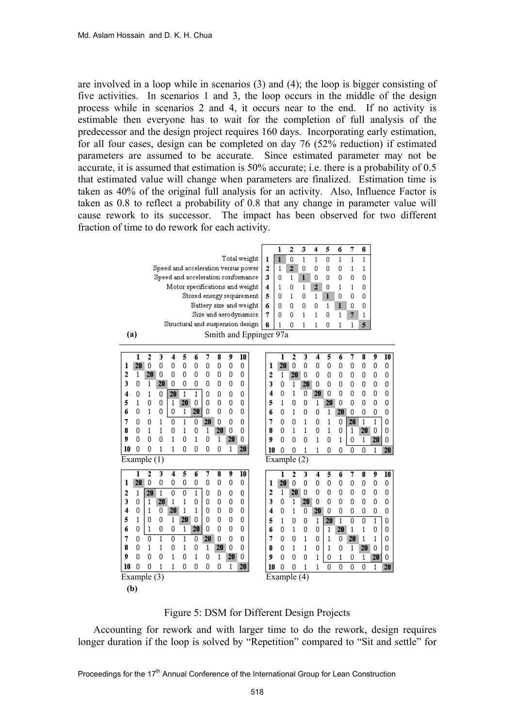are involved in a loop while in scenarios (3) and (4); the loop is bigger consisting of five activities. In scenarios 1 and 3, the loop occurs in the middle of the design process while in scenarios 2 and 4, it occurs near to the end. If no activity is estimable then everyone has to wait for the completion of full analysis of the predecessor and the design project requires 160 days. Incorporating early estimation, for all four cases, design can be completed on day 76 (52% reduction) if estimated parameters are assumed to be accurate. Since estimated parameter may not be accurate, it is assumed that estimation is 50% accurate; i.e. there is a probability of 0.5 that estimated value will change when parameters are finalized. Estimation time is taken as 40% of the original full analysis for an activity. Also, Influence Factor is taken as 0.8 to reflect a probability of 0.8 that any change in parameter value will cause rework to its successor. The impact has been observed for two different fraction of time to do rework for each activity.



Figure 5: DSM for Different Design Projects

Accounting for rework and with larger time to do the rework, design requires longer duration if the loop is solved by "Repetition" compared to "Sit and settle" for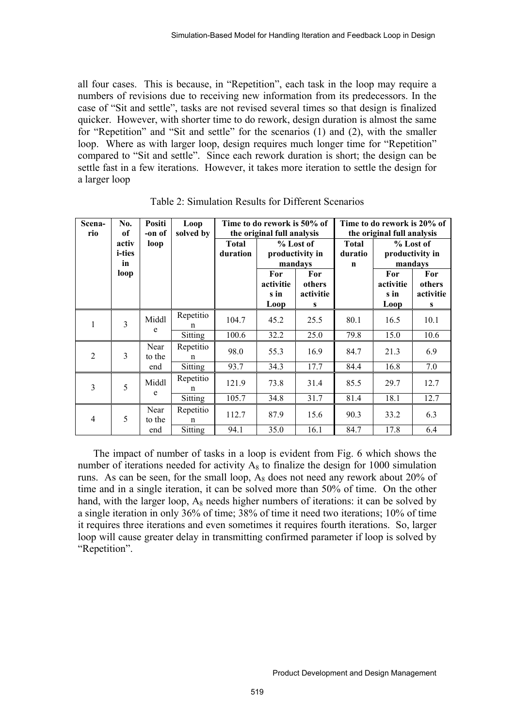all four cases. This is because, in "Repetition", each task in the loop may require a numbers of revisions due to receiving new information from its predecessors. In the case of "Sit and settle", tasks are not revised several times so that design is finalized quicker. However, with shorter time to do rework, design duration is almost the same for "Repetition" and "Sit and settle" for the scenarios (1) and (2), with the smaller loop. Where as with larger loop, design requires much longer time for "Repetition" compared to "Sit and settle". Since each rework duration is short; the design can be settle fast in a few iterations. However, it takes more iteration to settle the design for a larger loop

| Scena-<br>rio  | No.<br>of                     | Positi<br>-on of      | Loop<br>solved by         |                          | Time to do rework is 50% of<br>the original full analysis |                                 | Time to do rework is 20% of<br>the original full analysis |                                         |                                            |  |
|----------------|-------------------------------|-----------------------|---------------------------|--------------------------|-----------------------------------------------------------|---------------------------------|-----------------------------------------------------------|-----------------------------------------|--------------------------------------------|--|
|                | activ<br><i>i</i> -ties<br>in | loop                  |                           | <b>Total</b><br>duration | % Lost of<br>productivity in<br>mandays                   |                                 | <b>Total</b><br>duratio<br>$\mathbf n$                    | % Lost of<br>productivity in<br>mandays |                                            |  |
|                | loop                          |                       |                           |                          | For<br>activitie<br>s in<br>Loop                          | For<br>others<br>activitie<br>S |                                                           | For<br>activitie<br>s in<br>Loop        | For<br>others<br>activitie<br>$\mathbf{s}$ |  |
| 1              | 3                             | Middl<br>e            | Repetitio<br>n            | 104.7                    | 45.2                                                      | 25.5                            | 80.1                                                      | 16.5                                    | 10.1                                       |  |
|                |                               |                       | Sitting                   | 100.6                    | 32.2                                                      | 25.0                            | 79.8                                                      | 15.0                                    | 10.6                                       |  |
| $\overline{2}$ | 3                             | Near<br>to the        | Repetitio<br>$\mathsf{n}$ | 98.0                     | 55.3                                                      | 16.9                            | 84.7                                                      | 21.3                                    | 6.9                                        |  |
|                |                               | end                   | Sitting                   | 93.7                     | 34.3                                                      | 17.7                            | 84.4                                                      | 16.8                                    | 7.0                                        |  |
| 3              | 5                             | Middl<br>e            | Repetitio<br>n            | 121.9                    | 73.8                                                      | 31.4                            | 85.5                                                      | 29.7                                    | 12.7                                       |  |
|                |                               |                       | Sitting                   | 105.7                    | 34.8                                                      | 31.7                            | 81.4                                                      | 18.1                                    | 12.7                                       |  |
| 4              | 5                             | Near<br>to the<br>end | Repetitio<br>$\mathsf{n}$ | 112.7                    | 87.9                                                      | 15.6                            | 90.3                                                      | 33.2                                    | 6.3                                        |  |
|                |                               |                       | <b>Sitting</b>            | 94.1                     | 35.0                                                      | 16.1                            | 84.7                                                      | 17.8                                    | 6.4                                        |  |

Table 2: Simulation Results for Different Scenarios

The impact of number of tasks in a loop is evident from Fig. 6 which shows the number of iterations needed for activity  $A_8$  to finalize the design for 1000 simulation runs. As can be seen, for the small loop,  $A_8$  does not need any rework about 20% of time and in a single iteration, it can be solved more than 50% of time. On the other hand, with the larger loop,  $A_8$  needs higher numbers of iterations: it can be solved by a single iteration in only 36% of time; 38% of time it need two iterations; 10% of time it requires three iterations and even sometimes it requires fourth iterations. So, larger loop will cause greater delay in transmitting confirmed parameter if loop is solved by "Repetition".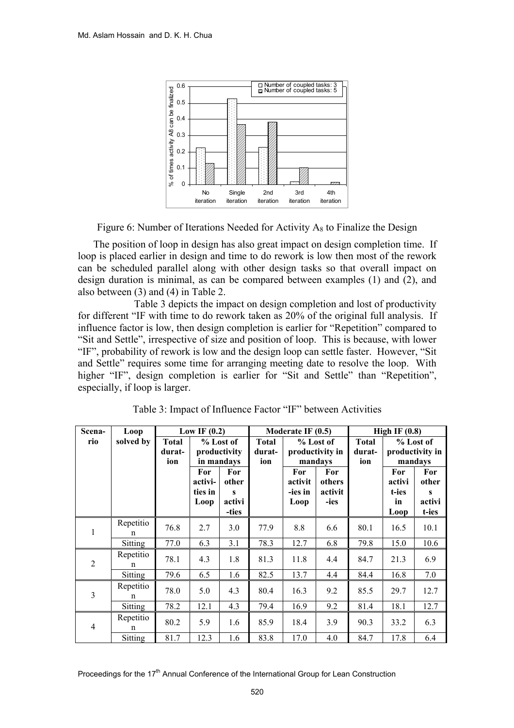![](_page_9_Figure_1.jpeg)

Figure 6: Number of Iterations Needed for Activity  $A_8$  to Finalize the Design

The position of loop in design has also great impact on design completion time. If loop is placed earlier in design and time to do rework is low then most of the rework can be scheduled parallel along with other design tasks so that overall impact on design duration is minimal, as can be compared between examples (1) and (2), and also between (3) and (4) in Table 2.

 Table 3 depicts the impact on design completion and lost of productivity for different "IF with time to do rework taken as 20% of the original full analysis. If influence factor is low, then design completion is earlier for "Repetition" compared to "Sit and Settle", irrespective of size and position of loop. This is because, with lower "IF", probability of rework is low and the design loop can settle faster. However, "Sit and Settle" requires some time for arranging meeting date to resolve the loop. With higher "IF", design completion is earlier for "Sit and Settle" than "Repetition", especially, if loop is larger.

| Scena-         | Loop           | Low IF $(0.2)$                |                                   |                                                                          |      | Moderate IF $(0.5)$               |                                         | High IF $(0.8)$ |                                         |                                                 |
|----------------|----------------|-------------------------------|-----------------------------------|--------------------------------------------------------------------------|------|-----------------------------------|-----------------------------------------|-----------------|-----------------------------------------|-------------------------------------------------|
| rio            | solved by      | <b>Total</b><br>durat-<br>ion |                                   | <b>Total</b><br>% Lost of<br>productivity<br>durat-<br>in mandays<br>ion |      |                                   | % Lost of<br>productivity in<br>mandays |                 | % Lost of<br>productivity in<br>mandays |                                                 |
|                |                |                               | For<br>activi-<br>ties in<br>Loop | For<br>other<br>s<br>activi<br>-ties                                     |      | For<br>activit<br>-ies in<br>Loop | For<br>others<br>activit<br>-ies        |                 | For<br>activi<br>t-ies<br>in<br>Loop    | For<br>other<br>$\mathbf{s}$<br>activi<br>t-ies |
| 1              | Repetitio<br>n | 76.8                          | 2.7                               | 3.0                                                                      | 77.9 | 8.8                               | 6.6                                     | 80.1            | 16.5                                    | 10.1                                            |
|                | Sitting        | 77.0                          | 6.3                               | 3.1                                                                      | 78.3 | 12.7                              | 6.8                                     | 79.8            | 15.0                                    | 10.6                                            |
| $\overline{2}$ | Repetitio<br>n | 78.1                          | 4.3                               | 1.8                                                                      | 81.3 | 11.8                              | 4.4                                     | 84.7            | 21.3                                    | 6.9                                             |
|                | <b>Sitting</b> | 79.6                          | 6.5                               | 1.6                                                                      | 82.5 | 13.7                              | 4.4                                     | 84.4            | 16.8                                    | 7.0                                             |
| 3              | Repetitio<br>n | 78.0                          | 5.0                               | 4.3                                                                      | 80.4 | 16.3                              | 9.2                                     | 85.5            | 29.7                                    | 12.7                                            |
|                | Sitting        | 78.2                          | 12.1                              | 4.3                                                                      | 79.4 | 16.9                              | 9.2                                     | 81.4            | 18.1                                    | 12.7                                            |
| $\overline{4}$ | Repetitio<br>n | 80.2                          | 5.9                               | 1.6                                                                      | 85.9 | 18.4                              | 3.9                                     | 90.3            | 33.2                                    | 6.3                                             |
|                | Sitting        | 81.7                          | 12.3                              | 1.6                                                                      | 83.8 | 17.0                              | 4.0                                     | 84.7            | 17.8                                    | 6.4                                             |

Table 3: Impact of Influence Factor "IF" between Activities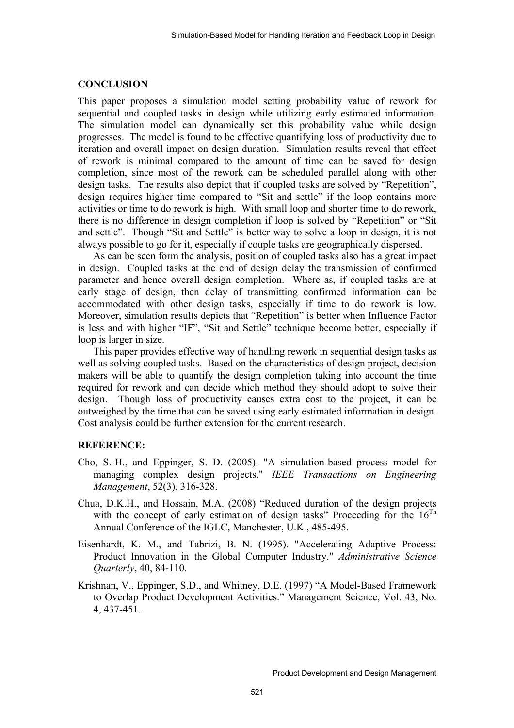#### **CONCLUSION**

This paper proposes a simulation model setting probability value of rework for sequential and coupled tasks in design while utilizing early estimated information. The simulation model can dynamically set this probability value while design progresses. The model is found to be effective quantifying loss of productivity due to iteration and overall impact on design duration. Simulation results reveal that effect of rework is minimal compared to the amount of time can be saved for design completion, since most of the rework can be scheduled parallel along with other design tasks. The results also depict that if coupled tasks are solved by "Repetition", design requires higher time compared to "Sit and settle" if the loop contains more activities or time to do rework is high. With small loop and shorter time to do rework, there is no difference in design completion if loop is solved by "Repetition" or "Sit and settle". Though "Sit and Settle" is better way to solve a loop in design, it is not always possible to go for it, especially if couple tasks are geographically dispersed.

As can be seen form the analysis, position of coupled tasks also has a great impact in design. Coupled tasks at the end of design delay the transmission of confirmed parameter and hence overall design completion. Where as, if coupled tasks are at early stage of design, then delay of transmitting confirmed information can be accommodated with other design tasks, especially if time to do rework is low. Moreover, simulation results depicts that "Repetition" is better when Influence Factor is less and with higher "IF", "Sit and Settle" technique become better, especially if loop is larger in size.

This paper provides effective way of handling rework in sequential design tasks as well as solving coupled tasks. Based on the characteristics of design project, decision makers will be able to quantify the design completion taking into account the time required for rework and can decide which method they should adopt to solve their design. Though loss of productivity causes extra cost to the project, it can be outweighed by the time that can be saved using early estimated information in design. Cost analysis could be further extension for the current research.

#### **REFERENCE:**

- Cho, S.-H., and Eppinger, S. D. (2005). "A simulation-based process model for managing complex design projects." *IEEE Transactions on Engineering Management*, 52(3), 316-328.
- Chua, D.K.H., and Hossain, M.A. (2008) "Reduced duration of the design projects with the concept of early estimation of design tasks" Proceeding for the  $16^{Th}$ Annual Conference of the IGLC, Manchester, U.K., 485-495.
- Eisenhardt, K. M., and Tabrizi, B. N. (1995). "Accelerating Adaptive Process: Product Innovation in the Global Computer Industry." *Administrative Science Quarterly*, 40, 84-110.
- Krishnan, V., Eppinger, S.D., and Whitney, D.E. (1997) "A Model-Based Framework to Overlap Product Development Activities." Management Science, Vol. 43, No. 4, 437-451.